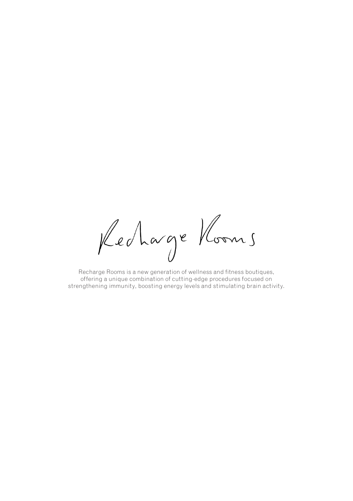Recharge Kooms

Recharge Rooms is a new generation of wellness and fitness boutiques, offering a unique combination of cutting-edge procedures focused on strengthening immunity, boosting energy levels and stimulating brain activity.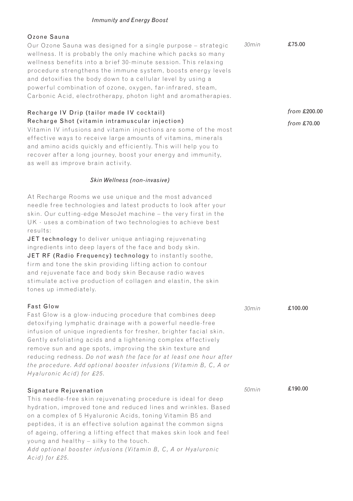#### *Immunity and Energy Boost*

#### Ozone Sauna

Our Ozone Sauna was designed for a single purpose – strategic wellness. It is probably the only machine which packs so many wellness benefits into a brief 30-minute session. This relaxing procedure strengthens the immune system, boosts energy levels and detoxifies the body down to a cellular level by using a powerful combination of ozone, oxygen, far-infrared, steam, Carbonic Acid, electrotherapy, photon light and aromatherapies. *30min*

## Recharge IV Drip (tailor made IV cocktail) Recharge Shot (vitamin intramuscular injection)

Vitamin IV infusions and vitamin injections are some of the most effective ways to receive large amounts of vitamins, minerals and amino acids quickly and efficiently. This will help you to recover after a long journey, boost your energy and immunity, as well as improve brain activity.

#### *Skin Wellness (non-invasive)*

At Recharge Rooms we use unique and the most advanced needle free technologies and latest products to look after your skin. Our cutting-edge MesoJet machine – the very first in the UK - uses a combination of two technologies to achieve best results:

JET technology to deliver unique antiaging rejuvenating ingredients into deep layers of the face and body skin. JET RF (Radio Frequency) technology to instantly soothe, firm and tone the skin providing lifting action to contour and rejuvenate face and body skin Because radio waves stimulate active production of collagen and elastin, the skin tones up immediately.

#### Fast Glow Fast Glow is a glow-inducing procedure that combines deep detoxif ying lymphatic drainage with a powerful needle-free infusion of unique ingredients for fresher, brighter facial skin. Gently exfoliating acids and a lightening complex effectively remove sun and age spots, improving the skin texture and reducing redness. Do not wash the face for at least one hour after *the procedure. Add optional booster infusions (Vitamin B, C, A or Hyaluronic Acid) for £25.* Signature Rejuvenation This needle-free skin rejuvenating procedure is ideal for deep hydration, improved tone and reduced lines and wrinkles. Based on a complex of 5 Hyaluronic Acids, toning Vitamin B5 and peptides, it is an effective solution against the common signs *30min 50min* £100.00 £190.00

young and healthy – silky to the touch. Add optional booster infusions (Vitamin B, C, A or Hyaluronic *Acid) for £25.*

of ageing, offering a lifting effect that makes skin look and feel

*from* £200.00 *from* £70.00

£75.00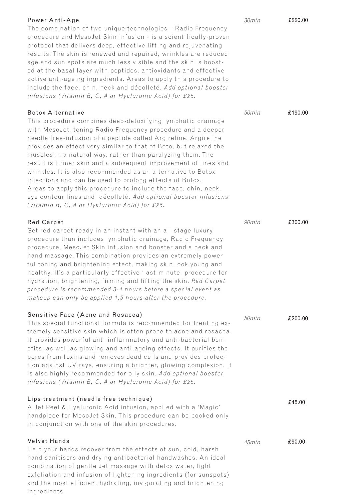| Power Anti-Age<br>The combination of two unique technologies - Radio Frequency<br>procedure and MesoJet Skin infusion - is a scientifically-proven<br>protocol that delivers deep, effective lifting and rejuvenating<br>results. The skin is renewed and repaired, wrinkles are reduced,<br>age and sun spots are much less visible and the skin is boost-<br>ed at the basal layer with peptides, antioxidants and effective<br>active anti-ageing ingredients. Areas to apply this procedure to<br>include the face, chin, neck and décolleté. Add optional booster<br>infusions (Vitamin B, C, A or Hyaluronic Acid) for £25.                                                                                                              | 30min | £220.00 |
|------------------------------------------------------------------------------------------------------------------------------------------------------------------------------------------------------------------------------------------------------------------------------------------------------------------------------------------------------------------------------------------------------------------------------------------------------------------------------------------------------------------------------------------------------------------------------------------------------------------------------------------------------------------------------------------------------------------------------------------------|-------|---------|
| <b>Botox Alternative</b><br>This procedure combines deep-detoxifying lymphatic drainage<br>with MesoJet, toning Radio Frequency procedure and a deeper<br>needle free-infusion of a peptide called Argireline. Argireline<br>provides an effect very similar to that of Boto, but relaxed the<br>muscles in a natural way, rather than paralyzing them. The<br>result is firmer skin and a subsequent improvement of lines and<br>wrinkles. It is also recommended as an alternative to Botox<br>injections and can be used to prolong effects of Botox.<br>Areas to apply this procedure to include the face, chin, neck,<br>eye contour lines and décolleté. Add optional booster infusions<br>(Vitamin B, C, A or Hyaluronic Acid) for £25. | 50min | £190.00 |
| <b>Red Carpet</b><br>Get red carpet-ready in an instant with an all-stage luxury<br>procedure than includes lymphatic drainage, Radio Frequency<br>procedure, MesoJet Skin infusion and booster and a neck and<br>hand massage. This combination provides an extremely power-<br>ful toning and brightening effect, making skin look young and<br>healthy. It's a particularly effective 'last-minute' procedure for<br>hydration, brightening, firming and lifting the skin. Red Carpet<br>procedure is recommended 3-4 hours before a special event as<br>makeup can only be applied 1.5 hours after the procedure.                                                                                                                          | 90min | £300.00 |
| Sensitive Face (Acne and Rosacea)<br>This special functional formula is recommended for treating ex-<br>tremely sensitive skin which is often prone to acne and rosacea.<br>It provides powerful anti-inflammatory and anti-bacterial ben-<br>efits, as well as glowing and anti-ageing effects. It purifies the<br>pores from toxins and removes dead cells and provides protec-<br>tion against UV rays, ensuring a brighter, glowing complexion. It<br>is also highly recommended for oily skin. Add optional booster<br>infusions (Vitamin B, C, A or Hyaluronic Acid) for £25.                                                                                                                                                            | 50min | £200.00 |
| Lips treatment (needle free technique)<br>A Jet Peel & Hyaluronic Acid infusion, applied with a 'Magic'<br>handpiece for MesoJet Skin. This procedure can be booked only<br>in conjunction with one of the skin procedures.                                                                                                                                                                                                                                                                                                                                                                                                                                                                                                                    |       | £45.00  |
| Velvet Hands<br>Help your hands recover from the effects of sun, cold, harsh<br>hand sanitisers and drying antibacterial handwashes. An ideal<br>combination of gentle Jet massage with detox water, light<br>exfoliation and infusion of lightening ingredients (for sunspots)                                                                                                                                                                                                                                                                                                                                                                                                                                                                | 45min | £90.00  |

and the most efficient hydrating, invigorating and brightening ingredients.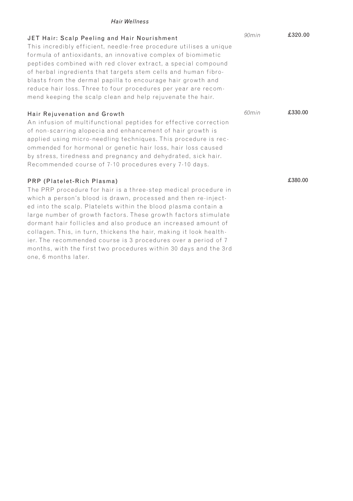### *Hair Wellness*

months, with the first two procedures within 30 days and the 3rd

one, 6 months later.

| JET Hair: Scalp Peeling and Hair Nourishment<br>This incredibly efficient, needle-free procedure utilises a unique<br>formula of antioxidants, an innovative complex of biomimetic<br>peptides combined with red clover extract, a special compound<br>of herbal ingredients that targets stem cells and human fibro-<br>blasts from the dermal papilla to encourage hair growth and<br>reduce hair loss. Three to four procedures per year are recom-<br>mend keeping the scalp clean and help rejuvenate the hair. | 90min | £320.00 |
|----------------------------------------------------------------------------------------------------------------------------------------------------------------------------------------------------------------------------------------------------------------------------------------------------------------------------------------------------------------------------------------------------------------------------------------------------------------------------------------------------------------------|-------|---------|
| Hair Rejuvenation and Growth<br>An infusion of multifunctional peptides for effective correction<br>of non-scarring alopecia and enhancement of hair growth is<br>applied using micro-needling techniques. This procedure is rec-<br>ommended for hormonal or genetic hair loss, hair loss caused<br>by stress, tiredness and pregnancy and dehydrated, sick hair.<br>Recommended course of 7-10 procedures every 7-10 days.                                                                                         | 60min | £330.00 |
| PRP (Platelet-Rich Plasma)<br>The PRP procedure for hair is a three-step medical procedure in<br>which a person's blood is drawn, processed and then re-inject-<br>ed into the scalp. Platelets within the blood plasma contain a<br>large number of growth factors. These growth factors stimulate<br>dormant hair follicles and also produce an increased amount of<br>collagen. This, in turn, thickens the hair, making it look health-<br>ier. The recommended course is 3 procedures over a period of 7        |       | £380.00 |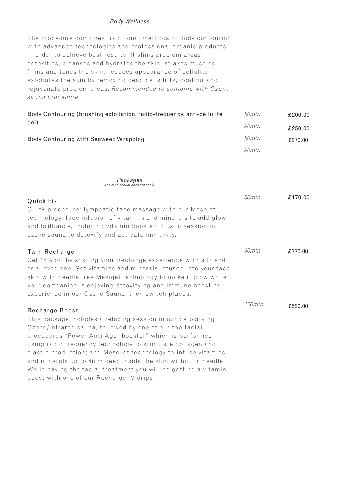#### *Body Wellness*

The procedure combines traditional methods of body contouring with advanced technologies and professional organic products in order to achieve best results. It slims problem areas det oxifies, cleanses and hydrates the skin, relaxes muscles, firms and tones the skin, reduces appearance of cellulite, exfoliates the skin by removing dead cells lifts, contour and rejuvenate problem areas. Recommended to combine with Ozone *sauna procedure.*

| Body Contouring (brushing exfoliation, radio-frequency, anti-cellulite<br>gel) | 60min | £200.00 |
|--------------------------------------------------------------------------------|-------|---------|
|                                                                                | 90min | £250.00 |
| Body Contouring with Seaweed Wrapping                                          | 60min | £270.00 |
|                                                                                | 90min |         |

*Packages Laslett discount does not apply*

| Quick Fix                                                                                                                                                                                                                                                                                                                                                                                                                                                                                       | 50min     | £170.00 |
|-------------------------------------------------------------------------------------------------------------------------------------------------------------------------------------------------------------------------------------------------------------------------------------------------------------------------------------------------------------------------------------------------------------------------------------------------------------------------------------------------|-----------|---------|
| Quick procedure: lymphatic face massage with our Mesojet<br>technology, face infusion of vitamins and minerals to add glow<br>and brilliance, including vitamin booster; plus, a session in<br>ozone sauna to detoxify and activate immunity.                                                                                                                                                                                                                                                   |           |         |
| Twin Recharge                                                                                                                                                                                                                                                                                                                                                                                                                                                                                   | 60min     | £330.00 |
| Get 15% off by sharing your Recharge experience with a friend<br>or a loved one. Get vitamins and minerals infused into your face<br>skin with needle free Mesojet technology to make it glow while<br>your companion is enjoying detoxifying and immune boosting<br>experience in our Ozone Sauna; then switch places.                                                                                                                                                                         |           |         |
| Recharge Boost                                                                                                                                                                                                                                                                                                                                                                                                                                                                                  | $120$ min | £520.00 |
| This package includes a relaxing session in our detoxifying<br>Ozone/Infrared sauna, followed by one of our top facial<br>procedures "Power Anti Age+booster" which is performed<br>using radio frequency technology to stimulate collagen and<br>elastin production; and MesoJet technology to infuse vitamins<br>and minerals up to 4mm deep inside the skin without a needle.<br>While having the facial treatment you will be getting a vitamin<br>boost with one of our Recharge IV drips. |           |         |